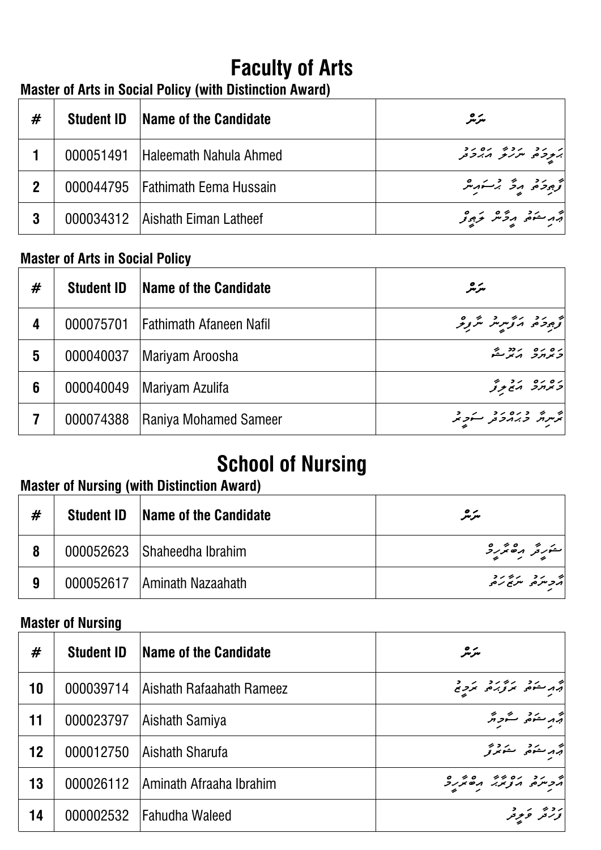# **Faculty of Arts**

# **Master of Arts in Social Policy (with Distinction Award)**

| #           | <b>Student ID</b> | <b>Name of the Candidate</b>       | سرمر                                          |
|-------------|-------------------|------------------------------------|-----------------------------------------------|
|             |                   | 000051491 Haleemath Nahula Ahmed   | د د د د د د د د د د<br>  په دومو سربر د برد د |
| $\mathbf 2$ |                   | 000044795   Fathimath Eema Hussain | كم وجود و و و بر سور مر                       |
|             |                   | 000034312 Aishath Eiman Latheef    | أقهر منفقى ورمحص مرجور                        |

### **Master of Arts in Social Policy**

| # | <b>Student ID</b> | Name of the Candidate          | سرەر                      |
|---|-------------------|--------------------------------|---------------------------|
| 4 | 000075701         | <b>Fathimath Afaneen Nafil</b> | توجود حديد مربر مربر و    |
| 5 | 000040037         | Mariyam Aroosha                | ره ره درد محرکته          |
| 6 | 000040049         | Mariyam Azulifa                | כמוקר הזקק                |
|   | 000074388         | Raniya Mohamed Sameer          | ټرمرنگر د برماد د مرکز کر |

### **Master of Nursing (with Distinction Award)**

| # | <b>Student ID</b> | <b>Name of the Candidate</b> | مترمگر         |
|---|-------------------|------------------------------|----------------|
|   |                   | 000052623 Shaheedha Ibrahim  | ستورځر مقصر دی |
| 9 | 000052617         | <b>Aminath Nazaahath</b>     |                |

### **Master of Nursing**

| <b>School of Nursing</b><br><b>Master of Nursing (with Distinction Award)</b> |                          |                           |                                    |
|-------------------------------------------------------------------------------|--------------------------|---------------------------|------------------------------------|
| #                                                                             | <b>Student ID</b>        | Name of the Candidate     | سرمر                               |
| 8                                                                             | 000052623                | Shaheedha Ibrahim         |                                    |
| $\boldsymbol{9}$                                                              | 000052617                | IAminath Nazaahath        | וב תב יתוב תב<br>הבניתם, ייתוב תם, |
|                                                                               | <b>Master of Nursing</b> |                           |                                    |
| #                                                                             | <b>Student ID</b>        | Name of the Candidate     | سرچر                               |
| 10                                                                            | 000039714                | lAishath Rafaahath Rameez | و مشرد در در در در د               |
| 11                                                                            | 000023797                | Aishath Samiya            | أبر مرحدة والشرورين                |
| 12                                                                            | 000012750                | Aishath Sharufa           | أثهر ستوضى استوتنز تحر             |
| 13                                                                            | 000026112                | lAminath Afraaha Ibrahim  | הכיתם הכדיר הסיקהם                 |
| 14                                                                            |                          | 000002532 Fahudha Waleed  | د د پر په د<br>  نور تر تر تر تر   |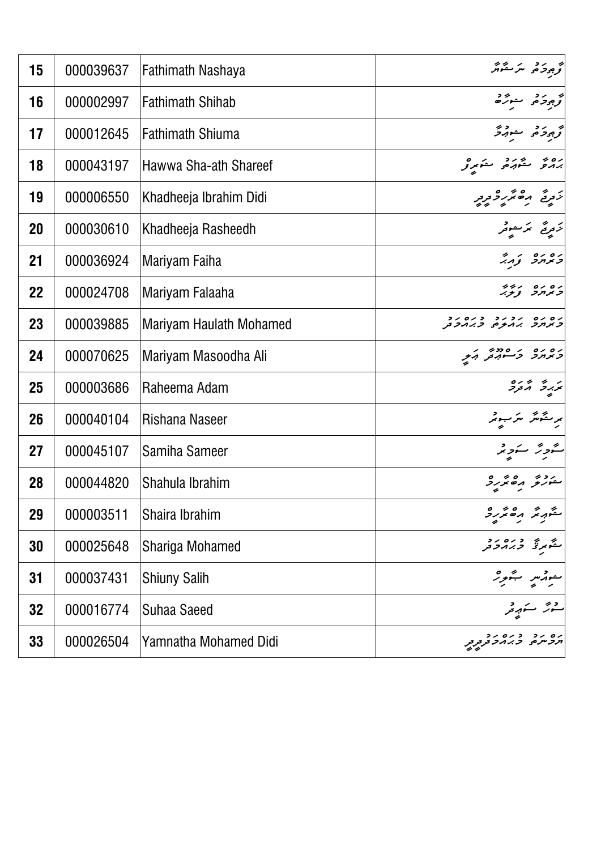| 15 | 000039637 | <b>Fathimath Nashaya</b> | أقرج وحركت متركبة                                                |
|----|-----------|--------------------------|------------------------------------------------------------------|
| 16 | 000002997 | <b>Fathimath Shihab</b>  | كوجود في مشوره                                                   |
| 17 | 000012645 | <b>Fathimath Shiuma</b>  | توجود كم معورة                                                   |
| 18 | 000043197 | Hawwa Sha-ath Shareef    | رەپ ئۇرۇ ئۇرۇ                                                    |
| 19 | 000006550 | Khadheeja Ibrahim Didi   | ر در ه در ه<br>زورخ می <i>در د</i> ور                            |
| 20 | 000030610 | Khadheeja Rasheedh       | تزویج ترجعوفر                                                    |
| 21 | 000036924 | Mariyam Faiha            | במחב צְהִי                                                       |
| 22 | 000024708 | Mariyam Falaaha          | ssi oioi<br>1, ni 1                                              |
| 23 | 000039885 | Mariyam Haulath Mohamed  | ים ים ינינ ניםינ<br>קי <i>צ</i> ו <i>נר ג</i> ו <i>בף כגוב</i> ת |
| 24 | 000070625 | Mariyam Masoodha Ali     | ים ים י סמי הת                                                   |
| 25 | 000003686 | Raheema Adam             | بر بر بر مرده<br>بربرگر مر <sub>ک</sub> رد                       |
| 26 | 000040104 | Rishana Naseer           | ىرىقىگر سرىبىر                                                   |
| 27 | 000045107 | Samiha Sameer            | شورتر سنوبر                                                      |
| 28 | 000044820 | Shahula Ibrahim          | منزلو مقتررة                                                     |
| 29 | 000003511 | Shaira Ibrahim           | منهریز برختررژ                                                   |
| 30 | 000025648 | Shariga Mohamed          | ر د ده د د د .<br>مگونرنگ از بر مرکز                             |
| 31 | 000037431 | <b>Shiuny Salih</b>      | سوړسر شور <sup>ه</sup>                                           |
| 32 | 000016774 | <b>Suhaa Saeed</b>       |                                                                  |
| 33 | 000026504 | Yamnatha Mohamed Didi    |                                                                  |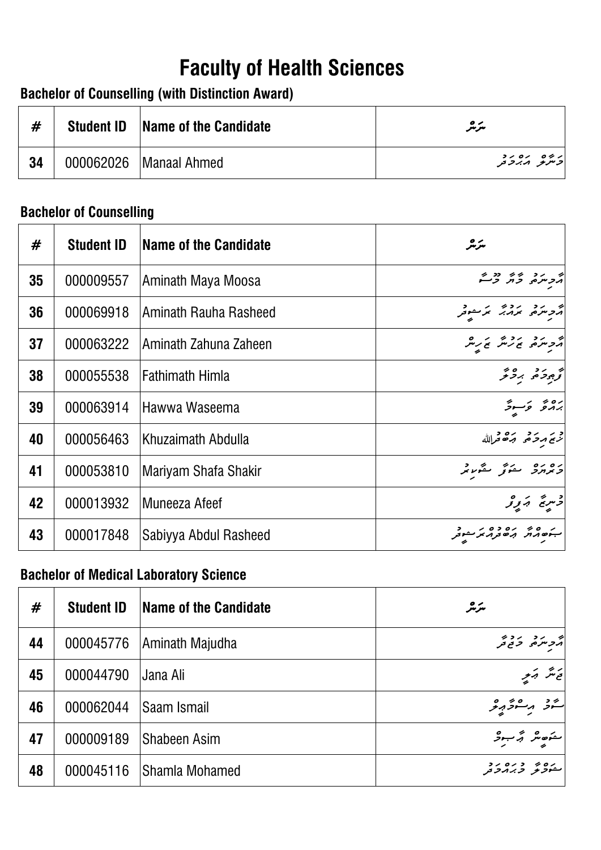# **Bachelor of Counselling (with Distinction Award)**

| #  | <b>Student ID</b> | <b>Name of the Candidate</b> | سرچر                      |
|----|-------------------|------------------------------|---------------------------|
| 34 |                   | 000062026   Manaal Ahmed     | روه ده ده<br>  دسرو مدروم |

### **Bachelor of Counselling**

| <b>Faculty of Health Sciences</b><br><b>Bachelor of Counselling (with Distinction Award)</b> |                                |                                               |                                                 |
|----------------------------------------------------------------------------------------------|--------------------------------|-----------------------------------------------|-------------------------------------------------|
| #                                                                                            | <b>Student ID</b>              | <b>Name of the Candidate</b>                  | سرمر                                            |
| 34                                                                                           | 000062026                      | <b>Manaal Ahmed</b>                           | י זים ים ידי<br>קיי <i>ת <del>ק</del> היד</i> ב |
|                                                                                              | <b>Bachelor of Counselling</b> |                                               |                                                 |
| #                                                                                            | <b>Student ID</b>              | <b>Name of the Candidate</b>                  | سرچر                                            |
| 35                                                                                           | 000009557                      | Aminath Maya Moosa                            | ایم در دی دو بر<br>مرسره د بر د                 |
| 36                                                                                           | 000069918                      | Aminath Rauha Rasheed                         | أترجم برديم برسوفر                              |
| 37                                                                                           | 000063222                      | Aminath Zahuna Zaheen                         | ה כיתם ז' תי ז' תי                              |
| 38                                                                                           | 000055538                      | <b>Fathimath Himla</b>                        | تحجيز فتحرج برحرم                               |
| 39                                                                                           | 000063914                      | Hawwa Waseema                                 | رەپ ئەسىر                                       |
| 40                                                                                           | 000056463                      | Khuzaimath Abdulla                            | اد بر بر در ده درالله                           |
| 41                                                                                           | 000053810                      | Mariyam Shafa Shakir                          | وبرارد ستوتى مقررة                              |
| 42                                                                                           | 000013932                      | Muneeza Afeef                                 | د سره بر و                                      |
| 43                                                                                           | 000017848                      | Sabiyya Abdul Rasheed                         | بەھەر مەدەبرىد                                  |
|                                                                                              |                                | <b>Bachelor of Medical Laboratory Science</b> |                                                 |
| #                                                                                            | <b>Student ID</b>              | <b>Name of the Candidate</b>                  | سرمر                                            |
| 44                                                                                           | 000045776                      | Aminath Majudha                               | ج د سرد در در در بر<br>مرکز سره در حرافر        |
| 45                                                                                           | 000044790                      | Jana Ali                                      | ى ئىتر بەير                                     |
| 46                                                                                           | 000062044                      | Saam Ismail                                   | پر مسرد در<br>شرف مستوجب                        |
| 47                                                                                           | 000009189                      | <b>Shabeen Asim</b>                           | منوصفر كجرجو                                    |
| 48                                                                                           | 000045116                      | Shamla Mohamed                                | رره بر دره رد<br>ستونو <i>وبرد</i> ونه          |

### **Bachelor of Medical Laboratory Science**

| #  | <b>Student ID</b> | Name of the Candidate | سرمر                                   |
|----|-------------------|-----------------------|----------------------------------------|
| 44 | 000045776         | Aminath Majudha       | أثر جنده المرداني                      |
| 45 | 000044790         | IJana Ali             | ئەنتر بەئىيە                           |
| 46 | 000062044         | <b>Saam Ismail</b>    | شۇ مەشۇمۇ                              |
| 47 | 000009189         | <b>Shabeen Asim</b>   | منوصفر كبر بارد كل                     |
| 48 | 000045116         | Shamla Mohamed        | رره به دره رد<br>مش <i>ونو وب</i> روتر |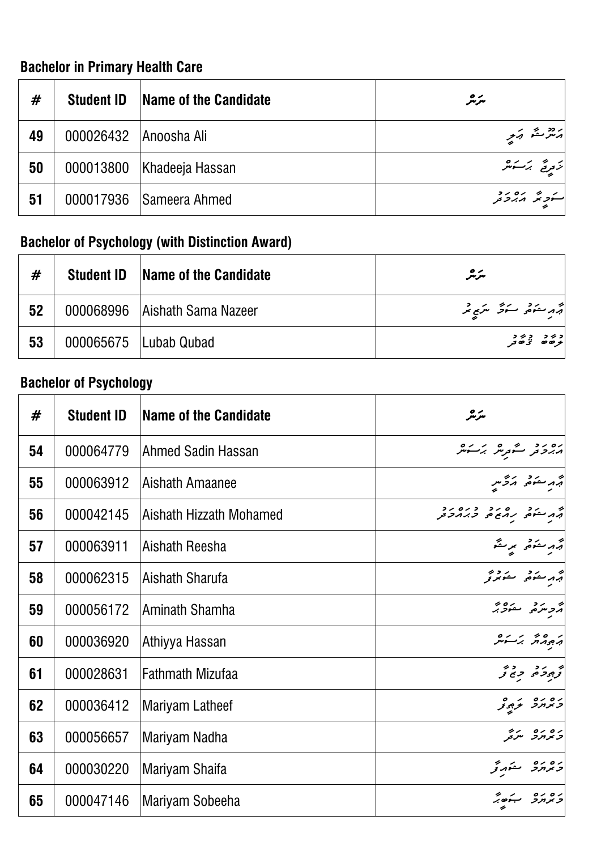# **Bachelor in Primary Health Care**

| #  | <b>Student ID</b>     | Name of the Candidate       | سرمر                                |
|----|-----------------------|-----------------------------|-------------------------------------|
| 49 | 000026432 Anoosha Ali |                             | په ده شمار کربی<br> په درستمار کربی |
| 50 |                       | 000013800   Khadeeja Hassan | تزمریح برکستر مر                    |
| 51 |                       | 000017936 Sameera Ahmed     | سکونگر برورو                        |

# **Bachelor of Psychology (with Distinction Award)**

| #  | <b>Student ID</b> | <b>Name of the Candidate</b>    | سرمر                            |
|----|-------------------|---------------------------------|---------------------------------|
| 52 |                   | 000068996   Aishath Sama Nazeer | أقهر منكوما التنجي مراجع        |
| 53 |                   | 000065675   Lubab Qubad         | د بر د بر د<br>  بر صد د تی صدر |

# **Bachelor of Psychology**

| #  | <b>Student ID</b> | <b>Name of the Candidate</b> | سرچر                                            |
|----|-------------------|------------------------------|-------------------------------------------------|
| 54 | 000064779         | Ahmed Sadin Hassan           | ۱۰۵ د محسن می بر کرده                           |
| 55 | 000063912         | Aishath Amaanee              | أقهر سنوهى أتركس                                |
| 56 | 000042145         | Aishath Hizzath Mohamed      | ام مشوه دره دره دد<br>ابه مشوه رمع ه دبرمرد     |
| 57 | 000063911         | Aishath Reesha               | أثبه سنوخر برستم                                |
| 58 | 000062315         | Aishath Sharufa              | أقهر منعقي منعمري                               |
| 59 | 000056172         | Aminath Shamha               | أتروسره منهوبر                                  |
| 60 | 000036920         | Athiyya Hassan               | پہرو برسور                                      |
| 61 | 000028631         | <b>Fathmath Mizufaa</b>      | أقرجوحه جامح                                    |
| 62 | 000036412         | <b>Mariyam Latheef</b>       | ده ده در ه                                      |
| 63 | 000056657         | Mariyam Nadha                | ره ره مردم<br>  <i>د بر بر</i> مر <sub>کز</sub> |
| 64 | 000030220         | Mariyam Shaifa               | دەرە ئىمەتم                                     |
| 65 | 000047146         | Mariyam Sobeeha              | ב זרוכ ה'ס"                                     |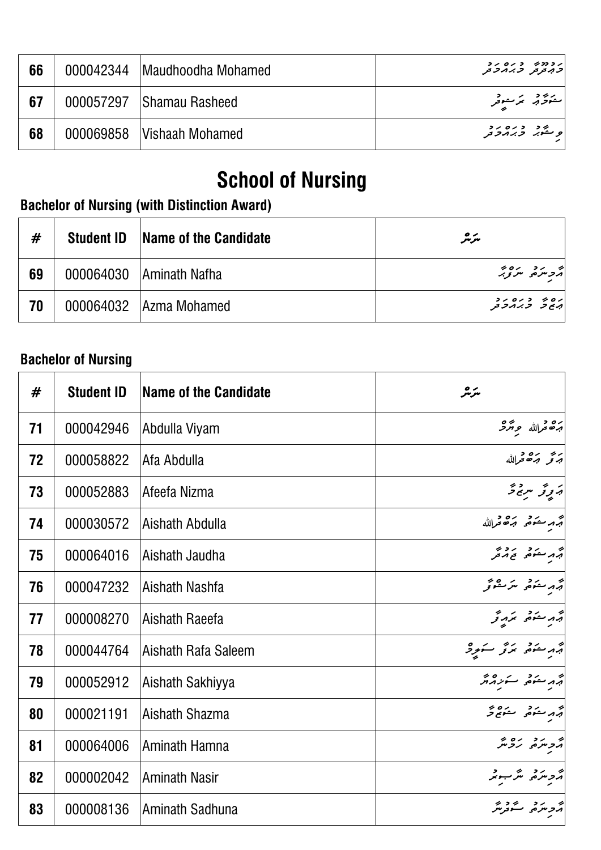| 66 | 000042344   Maudhoodha Mohamed | رودوے و رہ رو<br>  <i>ح بہ تر</i> تر ا <i>حر بہ ح</i> ر |
|----|--------------------------------|---------------------------------------------------------|
| 67 | 000057297   Shamau Rasheed     | مەنۇبە بۇسوتر                                           |
| 68 | 000069858   Vishaah Mohamed    | <mark>و څېړ وره رو</mark>                               |

# **School of Nursing**

# **Bachelor of Nursing (with Distinction Award)**

| #  | <b>Student ID</b> | <b>Name of the Candidate</b> | سرمر                                   |
|----|-------------------|------------------------------|----------------------------------------|
| 69 |                   | 000064030   Aminath Nafha    | اد برد ده د                            |
| 70 |                   | 000064032 Azma Mohamed       | ره د " د ره رد<br>  برج د " د بر بر تر |

### **Bachelor of Nursing**

| #  | <b>Student ID</b> | <b>Name of the Candidate</b> | سرمر                              |
|----|-------------------|------------------------------|-----------------------------------|
| 71 | 000042946         | Abdulla Viyam                | برة درالله حِ بَرْدَ              |
| 72 | 000058822         | Afa Abdulla                  | ابریز بره د<br>ابرتو برگاه مرالله |
| 73 | 000052883         | Afeefa Nizma                 | پروتر سرچ څر                      |
| 74 | 000030572         | Aishath Abdulla              | جرمر ستوضى وشرك فرالله            |
| 75 | 000064016         | Aishath Jaudha               |                                   |
| 76 | 000047232         | Aishath Nashfa               | أتهر منذه يترمقونمر               |
| 77 | 000008270         | Aishath Raeefa               | أتهر مفتحر بمرورتمر               |
| 78 | 000044764         | Aishath Rafa Saleem          | أثهر سنتمر متزكر سنورد            |
| 79 | 000052912         | Aishath Sakhiyya             | أبر مستوضى سترز والمجر            |
| 80 | 000021191         | Aishath Shazma               | أبهر متغفى متعج وحمج              |
| 81 | 000064006         | Aminath Hamna                | أترجره روير                       |
| 82 | 000002042         | <b>Aminath Nasir</b>         | أرد مرد مرجو                      |
| 83 | 000008136         | Aminath Sadhuna              | پر برد گروپر<br>مرحومت گروپر      |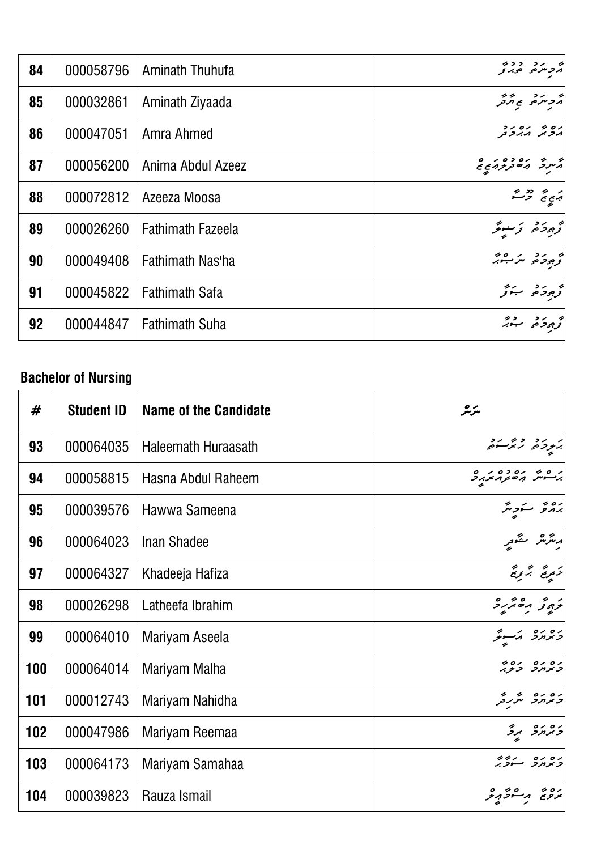| 84 | 000058796 | Aminath Thuhufa          | د سره و د و پر                      |
|----|-----------|--------------------------|-------------------------------------|
| 85 | 000032861 | Aminath Ziyaada          | أثر حرمز فلم يوسطر                  |
| 86 | 000047051 | Amra Ahmed               | ים ז' ים יב<br>הכית הייכת           |
| 87 | 000056200 | Anima Abdul Azeez        | په ده ده د ه ده<br>مسرد به مورد د ه |
| 88 | 000072812 | Azeeza Moosa             | أبهج فمح فرستم                      |
| 89 | 000026260 | <b>Fathimath Fazeela</b> | كوجوخا وتوسوتر                      |
| 90 | 000049408 | Fathimath Nas'ha         | تحجيج وتحرير من منتقبه              |
| 91 | 000045822 | Fathimath Safa           | كوجوحر حسبوتمر                      |
| 92 | 000044847 | <b>Fathimath Suha</b>    | تحريرو وديجر                        |

# **Bachelor of Nursing**

| #   | <b>Student ID</b> | Name of the Candidate      | سرمر                                                |
|-----|-------------------|----------------------------|-----------------------------------------------------|
| 93  | 000064035         | <b>Haleemath Huraasath</b> | بر رد دی رد                                         |
| 94  | 000058815         | Hasna Abdul Raheem         | י ס ש ים כס י ס<br>ג' <b>-י</b> י הס <i>בנו איג</i> |
| 95  | 000039576         | Hawwa Sameena              | برە ئەسكە يېڭر                                      |
| 96  | 000064023         | Inan Shadee                | ىرىترىش مىگ <sub>ە تېر</sub>                        |
| 97  | 000064327         | Khadeeja Hafiza            | ر په په په په<br>نزوغ برونځ                         |
| 98  | 000026298         | Latheefa Ibrahim           | ترجوتو مصررو                                        |
| 99  | 000064010         | Mariyam Aseela             | وبرارو بمسوئر                                       |
| 100 | 000064014         | Mariyam Malha              | ים ים ים זי<br><i>ב</i> אח <i>ר ב<del>נ</del>י</i>  |
| 101 | 000012743         | Mariyam Nahidha            | ره ره شرحه<br><i>د بر در</i> شررتمر                 |
| 102 | 000047986         | Mariyam Reemaa             | גם גם<br>כאחר אד                                    |
| 103 | 000064173         | Mariyam Samahaa            | ره ره بروء<br>وبوبرو سووبر                          |
| 104 | 000039823         | Rauza Ismail               | رە پە مەسور بەر                                     |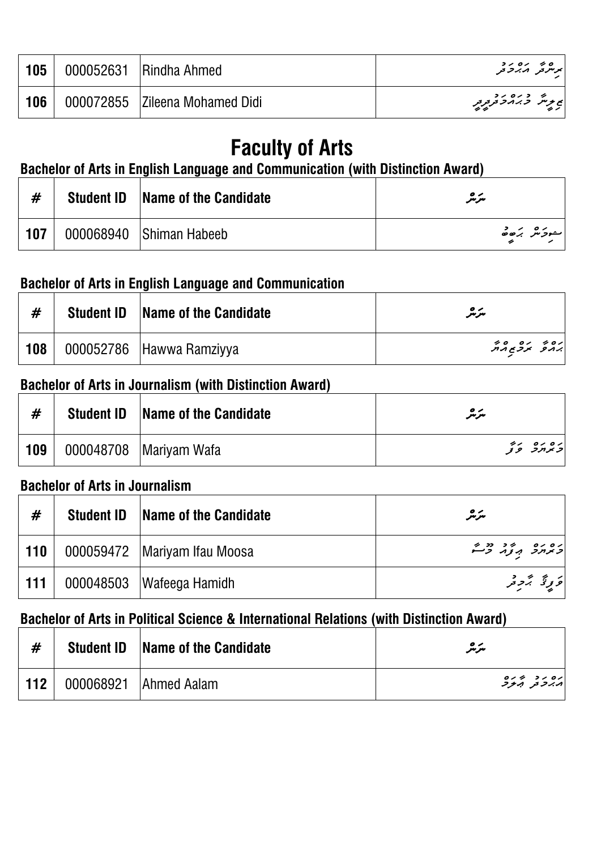| 105 | 000052631 | <b>Rindha Ahmed</b>            | برنتری مصرور<br>  برنتری مصر حر               |
|-----|-----------|--------------------------------|-----------------------------------------------|
| 106 |           | 000072855 Zileena Mohamed Didi | نج برنتر از دره رو<br>انج برنتر از جهاز جمهور |

# **Faculty of Arts**

# **Bachelor of Arts in English Language and Communication (with Distinction Award)**

| #   | <b>Student ID</b> | <b>Name of the Candidate</b> | سرچر              |
|-----|-------------------|------------------------------|-------------------|
| 107 |                   | 000068940 Shiman Habeeb      | سرد شرح مرکز در د |

### **Bachelor of Arts in English Language and Communication**

| #   | <b>Student ID</b> | Name of the Candidate    | سرمر                          |
|-----|-------------------|--------------------------|-------------------------------|
| 108 |                   | 000052786 Hawwa Ramziyya | ים זים סידי<br>ג'ורפ זרגבתיות |

#### **Bachelor of Arts in Journalism (with Distinction Award)**

| #   | <b>Student ID</b> | Name of the Candidate    | $\bullet\  \  \prime$<br>مىرىىر |
|-----|-------------------|--------------------------|---------------------------------|
| 109 |                   | 000048708   Mariyam Wafa | ره ره در و                      |

### **Bachelor of Arts in Journalism**

| #   | <b>Student ID</b> | Name of the Candidate          | سرمر                            |
|-----|-------------------|--------------------------------|---------------------------------|
| 110 |                   | 000059472   Mariyam Ifau Moosa | ן סים ניב נביי.<br>המחב הצה ביי |
| 111 |                   | 000048503   Wafeega Hamidh     | و د عمل د د                     |

### **Bachelor of Arts in Political Science & International Relations (with Distinction Award)**

| #   | <b>Student ID</b> | <b>Name of the Candidate</b> | سرمر                                |
|-----|-------------------|------------------------------|-------------------------------------|
| 112 |                   | 000068921 Ahmed Aalam        | ره ر د پر ره<br>  پر بر تر بر تر تر |